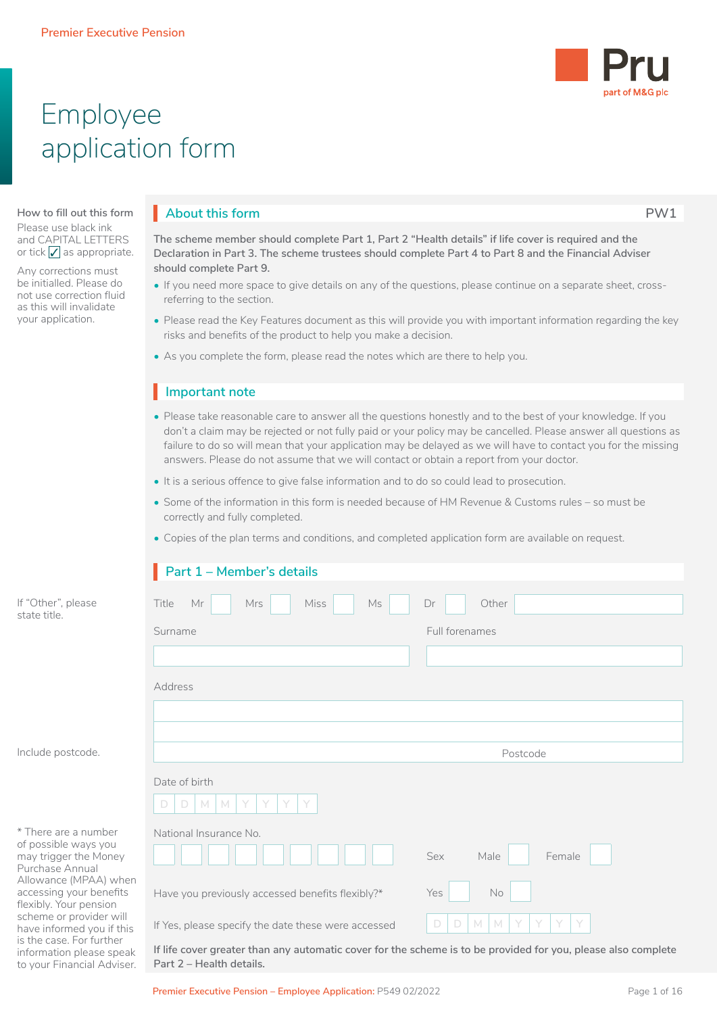

# Employee application form

#### **How to fill out this form**

Please use black ink and CAPITAL LETTERS or tick  $\sqrt{\ }$  as appropriate.

Any corrections must be initialled. Please do not use correction fluid as this will invalidate your application.

information please speak to your Financial Adviser.

## **About this form PW1**

**The scheme member should complete Part 1, Part 2 "Health details" if life cover is required and the Declaration in Part 3. The scheme trustees should complete Part 4 to Part 8 and the Financial Adviser should complete Part 9.**

- If you need more space to give details on any of the questions, please continue on a separate sheet, crossreferring to the section.
- Please read the Key Features document as this will provide you with important information regarding the key risks and benefits of the product to help you make a decision.
- As you complete the form, please read the notes which are there to help you.

## **Important note** I

- Please take reasonable care to answer all the questions honestly and to the best of your knowledge. If you don't a claim may be rejected or not fully paid or your policy may be cancelled. Please answer all questions as failure to do so will mean that your application may be delayed as we will have to contact you for the missing answers. Please do not assume that we will contact or obtain a report from your doctor.
- It is a serious offence to give false information and to do so could lead to prosecution.
- Some of the information in this form is needed because of HM Revenue & Customs rules so must be correctly and fully completed.
- Copies of the plan terms and conditions, and completed application form are available on request.

|                                                                                          | Part 1 - Member's details                           |                                                |
|------------------------------------------------------------------------------------------|-----------------------------------------------------|------------------------------------------------|
| If "Other", please<br>state title.                                                       | Miss<br>Mr<br>Ms<br>Title<br>Mrs                    | Other<br>Dr                                    |
|                                                                                          | Surname                                             | Full forenames                                 |
|                                                                                          |                                                     |                                                |
|                                                                                          | Address                                             |                                                |
|                                                                                          |                                                     |                                                |
|                                                                                          |                                                     |                                                |
| Include postcode.                                                                        |                                                     | Postcode                                       |
|                                                                                          | Date of birth<br>$\Box$<br>$M_{\odot}$<br>M<br>D    |                                                |
| * There are a number<br>of possible ways you<br>may trigger the Money<br>Purchase Annual | National Insurance No.                              | Sex<br>Female<br>Male                          |
| Allowance (MPAA) when<br>accessing your benefits<br>flexibly. Your pension               | Have you previously accessed benefits flexibly?*    | Yes<br>No                                      |
| scheme or provider will<br>have informed you if this<br>is the case. For further         | If Yes, please specify the date these were accessed | $\Box$<br>D<br>M<br>$\mathbb N$<br>Y<br>Y<br>Y |

**If life cover greater than any automatic cover for the scheme is to be provided for you, please also complete Part 2 – Health details.**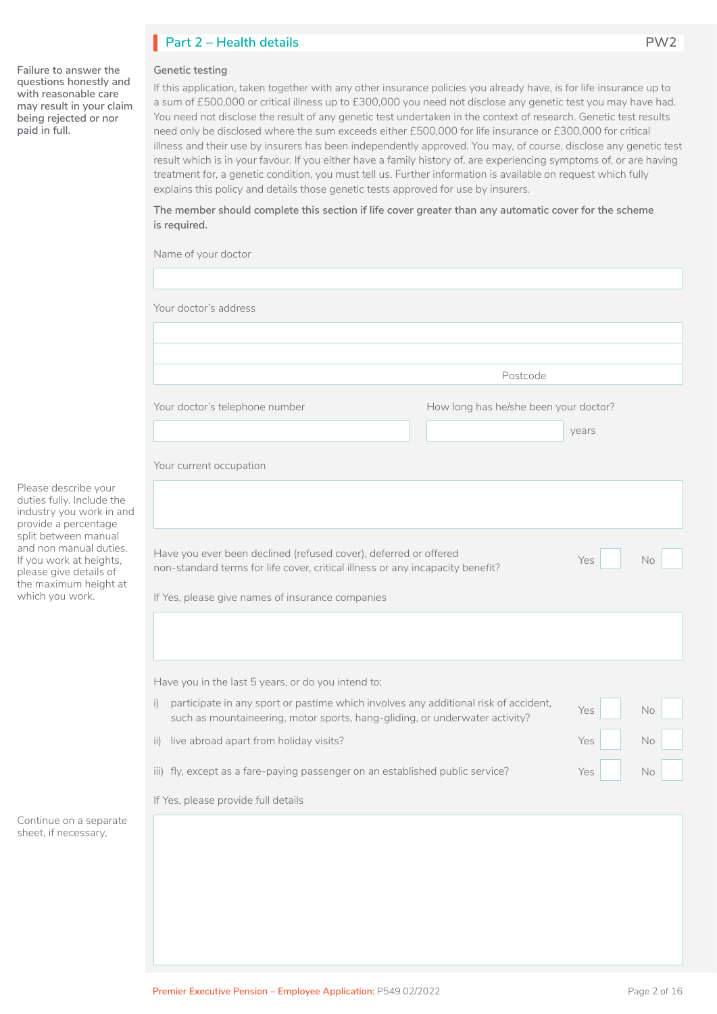## **Part 2 – Health details PW2** I

### **Genetic testing**

**Failure to answer the questions honestly and with reasonable care may result in your claim being rejected or nor paid in full.** 

If this application, taken together with any other insurance policies you already have, is for life insurance up to a sum of £500,000 or critical illness up to £300,000 you need not disclose any genetic test you may have had. You need not disclose the result of any genetic test undertaken in the context of research. Genetic test results need only be disclosed where the sum exceeds either £500,000 for life insurance or £300,000 for critical illness and their use by insurers has been independently approved. You may, of course, disclose any genetic test result which is in your favour. If you either have a family history of, are experiencing symptoms of, or are having treatment for, a genetic condition, you must tell us. Further information is available on request which fully explains this policy and details those genetic tests approved for use by insurers.

**The member should complete this section if life cover greater than any automatic cover for the scheme is required.**

| Your doctor's address                                                                                                                                                                                  |                                       |           |
|--------------------------------------------------------------------------------------------------------------------------------------------------------------------------------------------------------|---------------------------------------|-----------|
|                                                                                                                                                                                                        |                                       |           |
|                                                                                                                                                                                                        | Postcode                              |           |
| Your doctor's telephone number                                                                                                                                                                         | How long has he/she been your doctor? | years     |
| Your current occupation                                                                                                                                                                                |                                       |           |
|                                                                                                                                                                                                        |                                       |           |
| Have you ever been declined (refused cover), deferred or offered<br>non-standard terms for life cover, critical illness or any incapacity benefit?<br>If Yes, please give names of insurance companies |                                       | No<br>Yes |
| Have you in the last 5 years, or do you intend to:                                                                                                                                                     |                                       |           |
| participate in any sport or pastime which involves any additional risk of accident,<br>$\mathsf{i}$<br>such as mountaineering, motor sports, hang-gliding, or underwater activity?                     |                                       | No<br>Yes |
| live abroad apart from holiday visits?<br>$\mathsf{ii}$                                                                                                                                                |                                       | No<br>Yes |
| iii) fly, except as a fare-paying passenger on an established public service?                                                                                                                          |                                       | No<br>Yes |
| If Yes, please provide full details                                                                                                                                                                    |                                       |           |
|                                                                                                                                                                                                        |                                       |           |
|                                                                                                                                                                                                        |                                       |           |
|                                                                                                                                                                                                        |                                       |           |

Please describe you duties fully. Include industry you work in provide a percentage split between manu and non manual dut If you work at heigh please give details of the maximum heigh which you work.

Continue on a separ sheet, if necessary,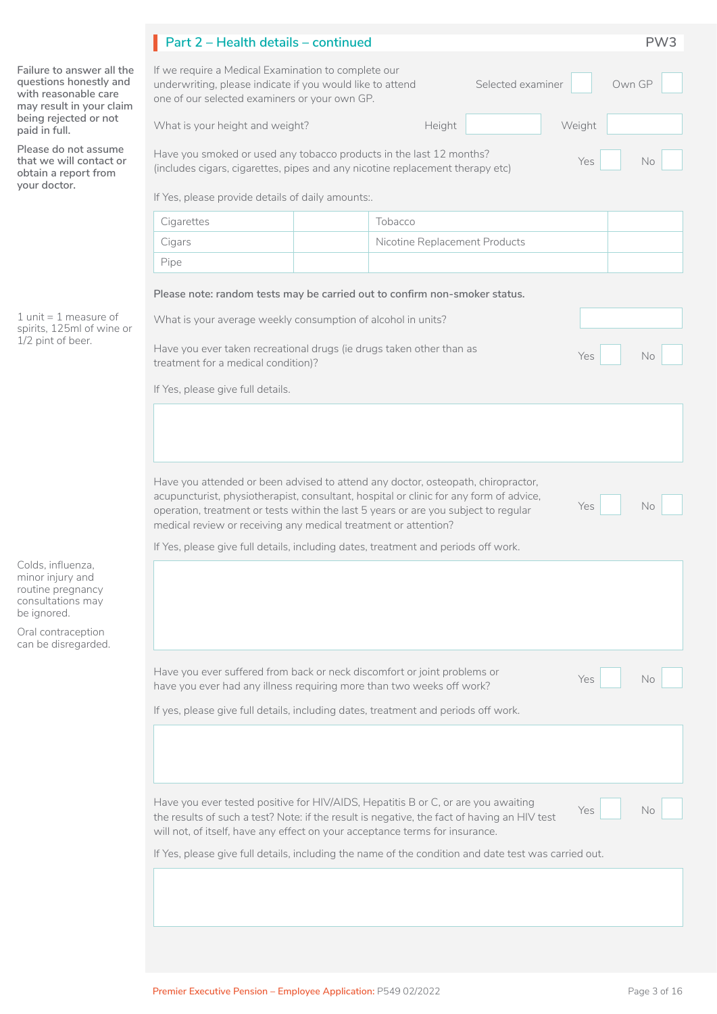|                                                                                                                                             | Part 2 - Health details - continued                                                                                                                                                                                                                              |                                                                                                      | PW <sub>3</sub> |
|---------------------------------------------------------------------------------------------------------------------------------------------|------------------------------------------------------------------------------------------------------------------------------------------------------------------------------------------------------------------------------------------------------------------|------------------------------------------------------------------------------------------------------|-----------------|
| Failure to answer all the<br>questions honestly and<br>with reasonable care<br>may result in your claim<br>being rejected or not            | If we require a Medical Examination to complete our<br>underwriting, please indicate if you would like to attend<br>one of our selected examiners or your own GP.                                                                                                | Selected examiner                                                                                    | Own GP          |
| paid in full.                                                                                                                               | What is your height and weight?                                                                                                                                                                                                                                  | Height<br>Weight                                                                                     |                 |
| Please do not assume<br>that we will contact or<br>obtain a report from<br>your doctor.                                                     | Have you smoked or used any tobacco products in the last 12 months?<br>(includes cigars, cigarettes, pipes and any nicotine replacement therapy etc)                                                                                                             | Yes                                                                                                  | No              |
|                                                                                                                                             | If Yes, please provide details of daily amounts:.                                                                                                                                                                                                                |                                                                                                      |                 |
|                                                                                                                                             | Cigarettes                                                                                                                                                                                                                                                       | Tobacco                                                                                              |                 |
|                                                                                                                                             | Cigars                                                                                                                                                                                                                                                           | Nicotine Replacement Products                                                                        |                 |
|                                                                                                                                             | Pipe                                                                                                                                                                                                                                                             |                                                                                                      |                 |
|                                                                                                                                             | Please note: random tests may be carried out to confirm non-smoker status.                                                                                                                                                                                       |                                                                                                      |                 |
| 1 unit = 1 measure of<br>spirits, 125ml of wine or<br>1/2 pint of beer.                                                                     | What is your average weekly consumption of alcohol in units?                                                                                                                                                                                                     |                                                                                                      |                 |
|                                                                                                                                             | Have you ever taken recreational drugs (ie drugs taken other than as<br>treatment for a medical condition)?                                                                                                                                                      | Yes                                                                                                  | No              |
|                                                                                                                                             | If Yes, please give full details.                                                                                                                                                                                                                                |                                                                                                      |                 |
|                                                                                                                                             | Have you attended or been advised to attend any doctor, osteopath, chiropractor,<br>acupuncturist, physiotherapist, consultant, hospital or clinic for any form of advice,                                                                                       | Yes                                                                                                  | <b>No</b>       |
|                                                                                                                                             | operation, treatment or tests within the last 5 years or are you subject to regular<br>medical review or receiving any medical treatment or attention?                                                                                                           |                                                                                                      |                 |
| Colds. influenza.<br>minor injury and<br>routine pregnancy<br>consultations may<br>be ignored.<br>Oral contraception<br>can be disregarded. | If Yes, please give full details, including dates, treatment and periods off work.                                                                                                                                                                               |                                                                                                      |                 |
|                                                                                                                                             | Have you ever suffered from back or neck discomfort or joint problems or<br>have you ever had any illness requiring more than two weeks off work?                                                                                                                | Yes                                                                                                  | No              |
|                                                                                                                                             | If yes, please give full details, including dates, treatment and periods off work.                                                                                                                                                                               |                                                                                                      |                 |
|                                                                                                                                             |                                                                                                                                                                                                                                                                  |                                                                                                      |                 |
|                                                                                                                                             | Have you ever tested positive for HIV/AIDS, Hepatitis B or C, or are you awaiting<br>the results of such a test? Note: if the result is negative, the fact of having an HIV test<br>will not, of itself, have any effect on your acceptance terms for insurance. | Yes                                                                                                  | No.             |
|                                                                                                                                             |                                                                                                                                                                                                                                                                  | If Yes, please give full details, including the name of the condition and date test was carried out. |                 |
|                                                                                                                                             |                                                                                                                                                                                                                                                                  |                                                                                                      |                 |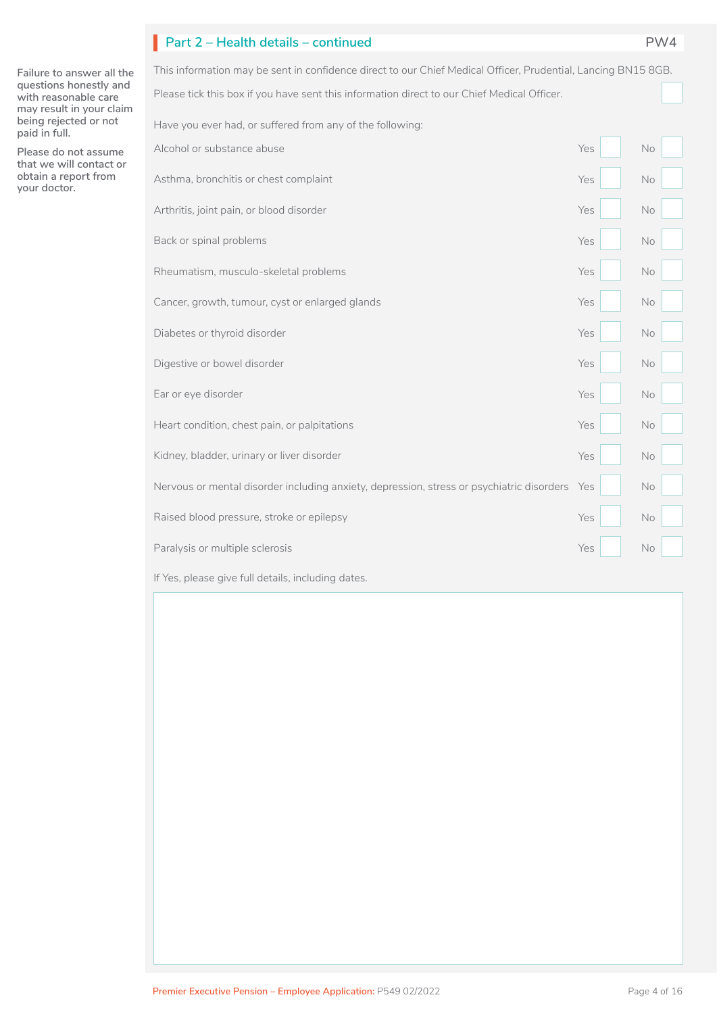## **Part 2 – Health details – continued PW4** I

**Failure to answer all the questions honestly and with reasonable care may result in your claim being rejected or not paid in full.** 

**Please do not assume that we will contact or obtain a report from your doctor.**

Please tick this box if you have sent this information direct to our Chief Medical Officer. This information may be sent in confidence direct to our Chief Medical Officer, Prudential, Lancing BN15 8GB. Have you ever had, or suffered from any of the following:  $\Box$ 

| Alcohol or substance abuse                                                                | Yes | No |
|-------------------------------------------------------------------------------------------|-----|----|
| Asthma, bronchitis or chest complaint                                                     | Yes | No |
| Arthritis, joint pain, or blood disorder                                                  | Yes | No |
| Back or spinal problems                                                                   | Yes | No |
| Rheumatism, musculo-skeletal problems                                                     | Yes | No |
| Cancer, growth, tumour, cyst or enlarged glands                                           | Yes | No |
| Diabetes or thyroid disorder                                                              | Yes | No |
| Digestive or bowel disorder                                                               | Yes | No |
| Ear or eye disorder                                                                       | Yes | No |
| Heart condition, chest pain, or palpitations                                              | Yes | No |
| Kidney, bladder, urinary or liver disorder                                                | Yes | No |
| Nervous or mental disorder including anxiety, depression, stress or psychiatric disorders | Yes | No |
| Raised blood pressure, stroke or epilepsy                                                 | Yes | No |
| Paralysis or multiple sclerosis                                                           | Yes | No |
| If Yes, please give full details, including dates.                                        |     |    |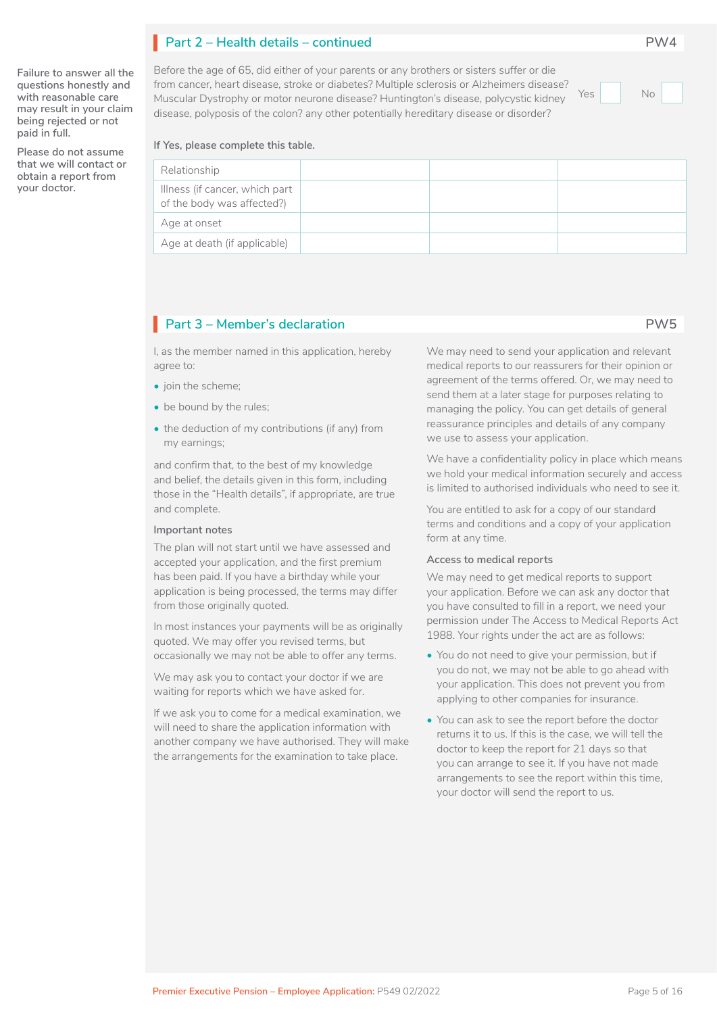## **Part 2 – Health details – continued PW4** I

**Failure to answer all the questions honestly and with reasonable care may result in your claim being rejected or not paid in full.** 

**Please do not assume that we will contact or obtain a report from your doctor.**

### Before the age of 65, did either of your parents or any brothers or sisters suffer or die from cancer, heart disease, stroke or diabetes? Multiple sclerosis or Alzheimers disease? Muscular Dystrophy or motor neurone disease? Huntington's disease, polycystic kidney disease, polyposis of the colon? any other potentially hereditary disease or disorder?

Yes No

**If Yes, please complete this table.**

| Relationship                                                 |  |  |
|--------------------------------------------------------------|--|--|
| Illness (if cancer, which part<br>of the body was affected?) |  |  |
| Age at onset                                                 |  |  |
| Age at death (if applicable)                                 |  |  |

## **Part 3 – Member's declaration PW5** I

I, as the member named in this application, hereby agree to:

- join the scheme:
- be bound by the rules;
- the deduction of my contributions (if any) from my earnings;

and confirm that, to the best of my knowledge and belief, the details given in this form, including those in the "Health details", if appropriate, are true and complete.

#### **Important notes**

The plan will not start until we have assessed and accepted your application, and the first premium has been paid. If you have a birthday while your application is being processed, the terms may differ from those originally quoted.

In most instances your payments will be as originally quoted. We may offer you revised terms, but occasionally we may not be able to offer any terms.

We may ask you to contact your doctor if we are waiting for reports which we have asked for.

If we ask you to come for a medical examination, we will need to share the application information with another company we have authorised. They will make the arrangements for the examination to take place.

We may need to send your application and relevant medical reports to our reassurers for their opinion or agreement of the terms offered. Or, we may need to send them at a later stage for purposes relating to managing the policy. You can get details of general reassurance principles and details of any company we use to assess your application.

We have a confidentiality policy in place which means we hold your medical information securely and access is limited to authorised individuals who need to see it.

You are entitled to ask for a copy of our standard terms and conditions and a copy of your application form at any time.

#### **Access to medical reports**

We may need to get medical reports to support your application. Before we can ask any doctor that you have consulted to fill in a report, we need your permission under The Access to Medical Reports Act 1988. Your rights under the act are as follows:

- You do not need to give your permission, but if you do not, we may not be able to go ahead with your application. This does not prevent you from applying to other companies for insurance.
- You can ask to see the report before the doctor returns it to us. If this is the case, we will tell the doctor to keep the report for 21 days so that you can arrange to see it. If you have not made arrangements to see the report within this time, your doctor will send the report to us.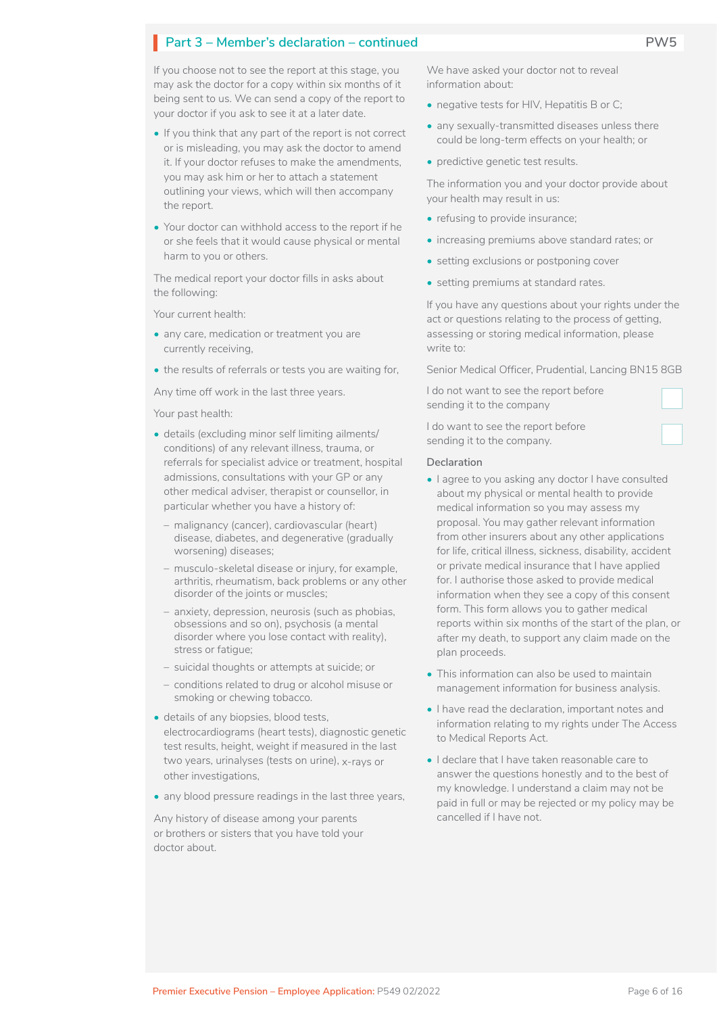If you choose not to see the report at this stage, you may ask the doctor for a copy within six months of it being sent to us. We can send a copy of the report to your doctor if you ask to see it at a later date.

- If you think that any part of the report is not correct or is misleading, you may ask the doctor to amend it. If your doctor refuses to make the amendments, you may ask him or her to attach a statement outlining your views, which will then accompany the report.
- Your doctor can withhold access to the report if he or she feels that it would cause physical or mental harm to you or others.

The medical report your doctor fills in asks about the following:

Your current health:

- any care, medication or treatment you are currently receiving,
- the results of referrals or tests you are waiting for,

Any time off work in the last three years.

Your past health:

- details (excluding minor self limiting ailments/ conditions) of any relevant illness, trauma, or referrals for specialist advice or treatment, hospital admissions, consultations with your GP or any other medical adviser, therapist or counsellor, in particular whether you have a history of:
	- malignancy (cancer), cardiovascular (heart) disease, diabetes, and degenerative (gradually worsening) diseases;
	- musculo-skeletal disease or injury, for example, arthritis, rheumatism, back problems or any other disorder of the joints or muscles;
	- anxiety, depression, neurosis (such as phobias, obsessions and so on), psychosis (a mental disorder where you lose contact with reality), stress or fatigue;
	- suicidal thoughts or attempts at suicide; or
	- conditions related to drug or alcohol misuse or smoking or chewing tobacco.
- details of any biopsies, blood tests, electrocardiograms (heart tests), diagnostic genetic test results, height, weight if measured in the last two years, urinalyses (tests on urine), x-rays or other investigations,
- any blood pressure readings in the last three years,

Any history of disease among your parents or brothers or sisters that you have told your doctor about.

We have asked your doctor not to reveal information about:

- negative tests for HIV, Hepatitis B or C;
- any sexually-transmitted diseases unless there could be long-term effects on your health; or
- predictive genetic test results.

The information you and your doctor provide about your health may result in us:

- refusing to provide insurance;
- increasing premiums above standard rates; or
- setting exclusions or postponing cover
- setting premiums at standard rates.

If you have any questions about your rights under the act or questions relating to the process of getting, assessing or storing medical information, please write to:

Senior Medical Officer, Prudential, Lancing BN15 8GB

I do not want to see the report before sending it to the company

I do want to see the report before sending it to the company.

#### **Declaration**

- I agree to you asking any doctor I have consulted about my physical or mental health to provide medical information so you may assess my proposal. You may gather relevant information from other insurers about any other applications for life, critical illness, sickness, disability, accident or private medical insurance that I have applied for. I authorise those asked to provide medical information when they see a copy of this consent form. This form allows you to gather medical reports within six months of the start of the plan, or after my death, to support any claim made on the plan proceeds.
- This information can also be used to maintain management information for business analysis.
- I have read the declaration, important notes and information relating to my rights under The Access to Medical Reports Act.
- I declare that I have taken reasonable care to answer the questions honestly and to the best of my knowledge. I understand a claim may not be paid in full or may be rejected or my policy may be cancelled if I have not.

 $\Box$ 

~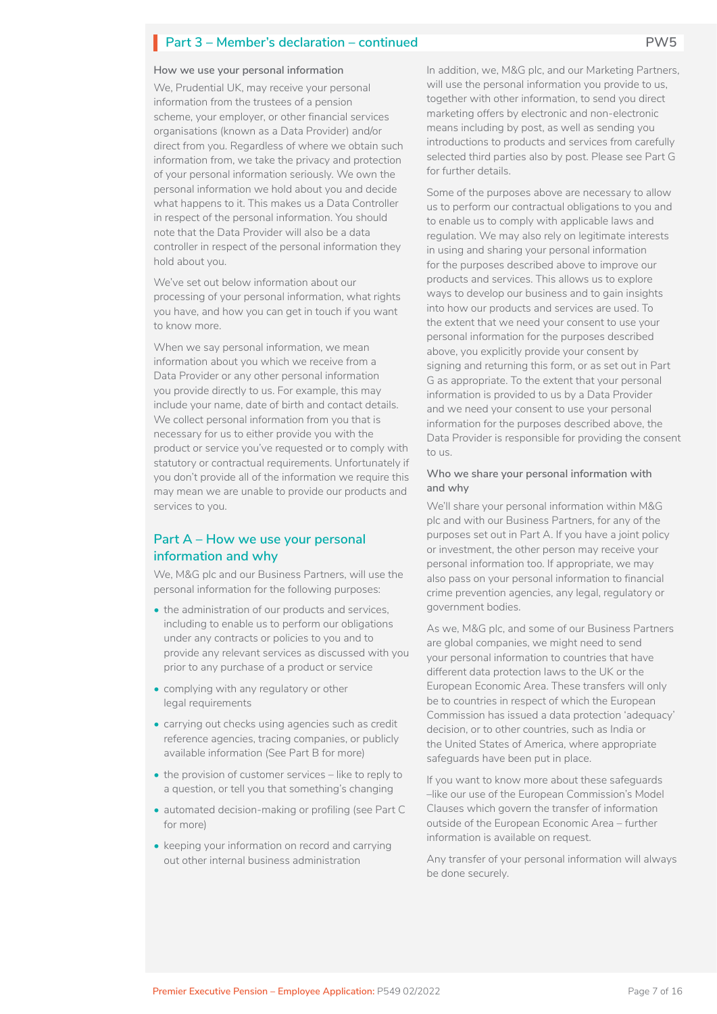#### **How we use your personal information**

We, Prudential UK, may receive your personal information from the trustees of a pension scheme, your employer, or other financial services organisations (known as a Data Provider) and/or direct from you. Regardless of where we obtain such information from, we take the privacy and protection of your personal information seriously. We own the personal information we hold about you and decide what happens to it. This makes us a Data Controller in respect of the personal information. You should note that the Data Provider will also be a data controller in respect of the personal information they hold about you.

We've set out below information about our processing of your personal information, what rights you have, and how you can get in touch if you want to know more.

When we say personal information, we mean information about you which we receive from a Data Provider or any other personal information you provide directly to us. For example, this may include your name, date of birth and contact details. We collect personal information from you that is necessary for us to either provide you with the product or service you've requested or to comply with statutory or contractual requirements. Unfortunately if you don't provide all of the information we require this may mean we are unable to provide our products and services to you.

### **Part A – How we use your personal information and why**

We, M&G plc and our Business Partners, will use the personal information for the following purposes:

- the administration of our products and services, including to enable us to perform our obligations under any contracts or policies to you and to provide any relevant services as discussed with you prior to any purchase of a product or service
- complying with any regulatory or other legal requirements
- carrying out checks using agencies such as credit reference agencies, tracing companies, or publicly available information (See Part B for more)
- the provision of customer services like to reply to a question, or tell you that something's changing
- automated decision-making or profiling (see Part C for more)
- keeping your information on record and carrying out other internal business administration

In addition, we, M&G plc, and our Marketing Partners, will use the personal information you provide to us, together with other information, to send you direct marketing offers by electronic and non-electronic means including by post, as well as sending you introductions to products and services from carefully selected third parties also by post. Please see Part G for further details.

Some of the purposes above are necessary to allow us to perform our contractual obligations to you and to enable us to comply with applicable laws and regulation. We may also rely on legitimate interests in using and sharing your personal information for the purposes described above to improve our products and services. This allows us to explore ways to develop our business and to gain insights into how our products and services are used. To the extent that we need your consent to use your personal information for the purposes described above, you explicitly provide your consent by signing and returning this form, or as set out in Part G as appropriate. To the extent that your personal information is provided to us by a Data Provider and we need your consent to use your personal information for the purposes described above, the Data Provider is responsible for providing the consent to us.

### **Who we share your personal information with and why**

We'll share your personal information within M&G plc and with our Business Partners, for any of the purposes set out in Part A. If you have a joint policy or investment, the other person may receive your personal information too. If appropriate, we may also pass on your personal information to financial crime prevention agencies, any legal, regulatory or government bodies.

As we, M&G plc, and some of our Business Partners are global companies, we might need to send your personal information to countries that have different data protection laws to the UK or the European Economic Area. These transfers will only be to countries in respect of which the European Commission has issued a data protection 'adequacy' decision, or to other countries, such as India or the United States of America, where appropriate safeguards have been put in place.

If you want to know more about these safeguards –like our use of the European Commission's Model Clauses which govern the transfer of information outside of the European Economic Area – further information is available on request.

Any transfer of your personal information will always be done securely.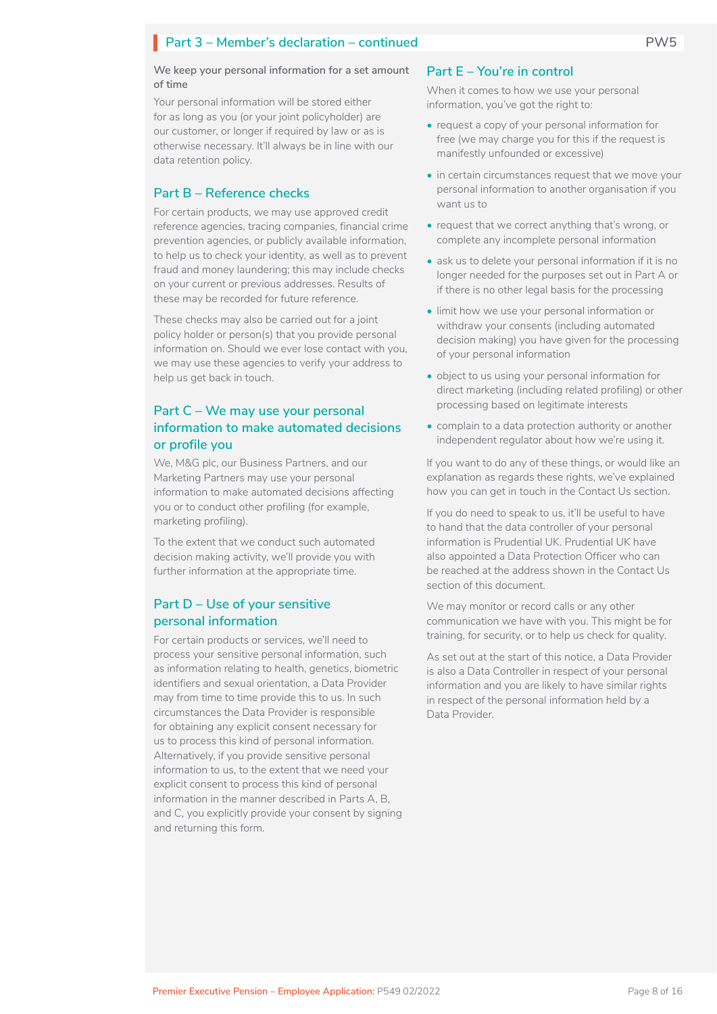#### **We keep your personal information for a set amount of time**

Your personal information will be stored either for as long as you (or your joint policyholder) are our customer, or longer if required by law or as is otherwise necessary. It'll always be in line with our data retention policy.

### **Part B – Reference checks**

For certain products, we may use approved credit reference agencies, tracing companies, financial crime prevention agencies, or publicly available information, to help us to check your identity, as well as to prevent fraud and money laundering; this may include checks on your current or previous addresses. Results of these may be recorded for future reference.

These checks may also be carried out for a joint policy holder or person(s) that you provide personal information on. Should we ever lose contact with you, we may use these agencies to verify your address to help us get back in touch.

## **Part C – We may use your personal information to make automated decisions or profile you**

We, M&G plc, our Business Partners, and our Marketing Partners may use your personal information to make automated decisions affecting you or to conduct other profiling (for example, marketing profiling).

To the extent that we conduct such automated decision making activity, we'll provide you with further information at the appropriate time.

## **Part D – Use of your sensitive personal information**

For certain products or services, we'll need to process your sensitive personal information, such as information relating to health, genetics, biometric identifiers and sexual orientation, a Data Provider may from time to time provide this to us. In such circumstances the Data Provider is responsible for obtaining any explicit consent necessary for us to process this kind of personal information. Alternatively, if you provide sensitive personal information to us, to the extent that we need your explicit consent to process this kind of personal information in the manner described in Parts A, B, and C, you explicitly provide your consent by signing and returning this form.

### **Part E – You're in control**

When it comes to how we use your personal information, you've got the right to:

- request a copy of your personal information for free (we may charge you for this if the request is manifestly unfounded or excessive)
- in certain circumstances request that we move your personal information to another organisation if you want us to
- request that we correct anything that's wrong, or complete any incomplete personal information
- ask us to delete your personal information if it is no longer needed for the purposes set out in Part A or if there is no other legal basis for the processing
- limit how we use your personal information or withdraw your consents (including automated decision making) you have given for the processing of your personal information
- object to us using your personal information for direct marketing (including related profiling) or other processing based on legitimate interests
- complain to a data protection authority or another independent regulator about how we're using it.

If you want to do any of these things, or would like an explanation as regards these rights, we've explained how you can get in touch in the Contact Us section.

If you do need to speak to us, it'll be useful to have to hand that the data controller of your personal information is Prudential UK. Prudential UK have also appointed a Data Protection Officer who can be reached at the address shown in the Contact Us section of this document.

We may monitor or record calls or any other communication we have with you. This might be for training, for security, or to help us check for quality.

As set out at the start of this notice, a Data Provider is also a Data Controller in respect of your personal information and you are likely to have similar rights in respect of the personal information held by a Data Provider.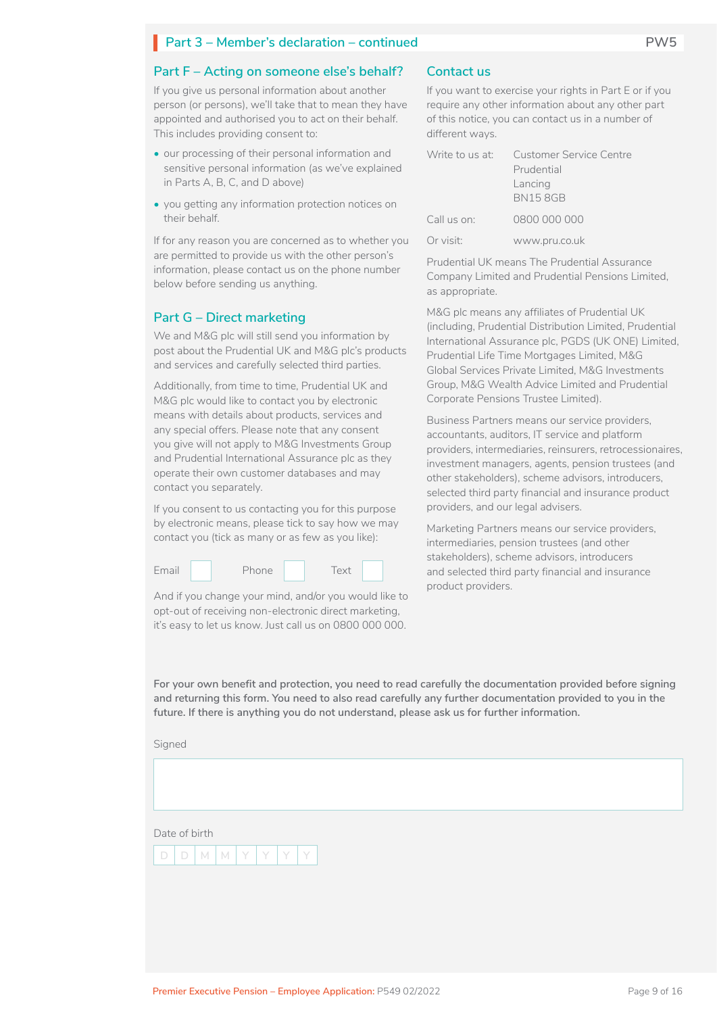### **Part F – Acting on someone else's behalf?**

If you give us personal information about another person (or persons), we'll take that to mean they have appointed and authorised you to act on their behalf. This includes providing consent to:

- our processing of their personal information and sensitive personal information (as we've explained in Parts A, B, C, and D above)
- you getting any information protection notices on their behalf.

If for any reason you are concerned as to whether you are permitted to provide us with the other person's information, please contact us on the phone number below before sending us anything.

### **Part G – Direct marketing**

We and M&G plc will still send you information by post about the Prudential UK and M&G plc's products and services and carefully selected third parties.

Additionally, from time to time, Prudential UK and M&G plc would like to contact you by electronic means with details about products, services and any special offers. Please note that any consent you give will not apply to M&G Investments Group and Prudential International Assurance plc as they operate their own customer databases and may contact you separately.

If you consent to us contacting you for this purpose by electronic means, please tick to say how we may contact you (tick as many or as few as you like):



And if you change your mind, and/or you would like to opt-out of receiving non-electronic direct marketing, it's easy to let us know. Just call us on 0800 000 000.

### **Contact us**

If you want to exercise your rights in Part E or if you require any other information about any other part of this notice, you can contact us in a number of different ways.

|             | Write to us at: Customer Service Centre |  |
|-------------|-----------------------------------------|--|
|             | Prudential                              |  |
|             | Lancing<br><b>BN158GB</b>               |  |
| Call us on: | 0800 000 000                            |  |
| Or visit:   | www.pru.co.uk                           |  |

Prudential UK means The Prudential Assurance Company Limited and Prudential Pensions Limited, as appropriate.

M&G plc means any affiliates of Prudential UK (including, Prudential Distribution Limited, Prudential International Assurance plc, PGDS (UK ONE) Limited, Prudential Life Time Mortgages Limited, M&G Global Services Private Limited, M&G Investments Group, M&G Wealth Advice Limited and Prudential Corporate Pensions Trustee Limited).

Business Partners means our service providers, accountants, auditors, IT service and platform providers, intermediaries, reinsurers, retrocessionaires, investment managers, agents, pension trustees (and other stakeholders), scheme advisors, introducers, selected third party financial and insurance product providers, and our legal advisers.

Marketing Partners means our service providers, intermediaries, pension trustees (and other stakeholders), scheme advisors, introducers and selected third party financial and insurance product providers.

**For your own benefit and protection, you need to read carefully the documentation provided before signing and returning this form. You need to also read carefully any further documentation provided to you in the future. If there is anything you do not understand, please ask us for further information.**

Signed

Date of birth

| $\lceil D \rceil M \lceil N \rceil Y \lceil Y \rceil Y$ |  |  |  |
|---------------------------------------------------------|--|--|--|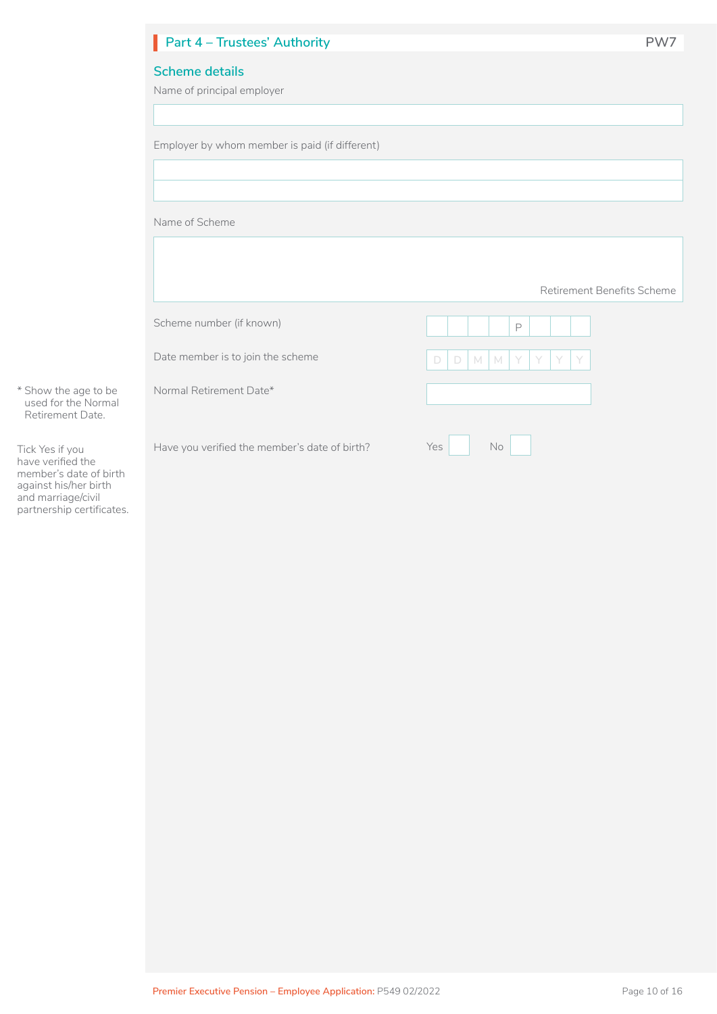|                                         | Part 4 - Trustees' Authority                        | PW7                                 |
|-----------------------------------------|-----------------------------------------------------|-------------------------------------|
|                                         | <b>Scheme details</b><br>Name of principal employer |                                     |
|                                         | Employer by whom member is paid (if different)      |                                     |
|                                         | Name of Scheme                                      |                                     |
|                                         |                                                     | Retirement Benefits Scheme          |
|                                         | Scheme number (if known)                            | P                                   |
|                                         | Date member is to join the scheme                   | $\Box$<br>$M$ M<br>$\Box$<br>Y<br>Y |
| age to be<br>e Normal<br>t Date.        | Normal Retirement Date*                             |                                     |
| JU<br>d the<br>ate of birth<br>er birth | Have you verified the member's date of birth?       | No<br>Yes                           |

\* Show the a used for the Retirement

Tick Yes if you have verified the member's date of birth against his/her birth and marriage/civil partnership certificates.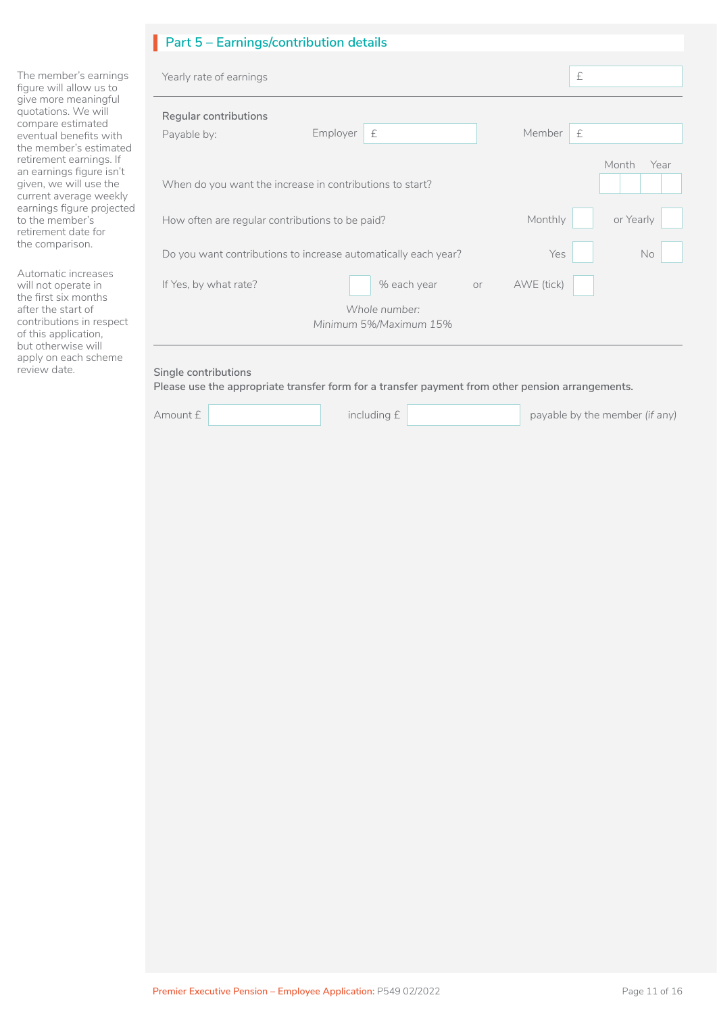## **Part 5 – Earnings/contribution details** I

The member's earnings figure will allow us to give more meaningful quotations. We will compare estimated eventual benefits with the member's estimated retirement earnings. If an earnings figure isn't given, we will use the current average weekly earnings figure projected to the member's retirement date for the comparison.

Automatic increases will not operate in the first six months after the start of contributions in respect of this application, but otherwise will apply on each scheme

| Yearly rate of earnings                                  |                                                                |    |            | £             |           |
|----------------------------------------------------------|----------------------------------------------------------------|----|------------|---------------|-----------|
| Regular contributions<br>Payable by:                     | Employer<br>£                                                  |    | Member     | £             |           |
| When do you want the increase in contributions to start? |                                                                |    |            | Month<br>Year |           |
|                                                          | How often are regular contributions to be paid?                |    | Monthly    |               | or Yearly |
|                                                          | Do you want contributions to increase automatically each year? |    | Yes        |               | No        |
| If Yes, by what rate?                                    | % each year                                                    | or | AWE (tick) |               |           |
|                                                          | Whole number:<br>Minimum 5%/Maximum 15%                        |    |            |               |           |

### review date. **Single contributions**

**Please use the appropriate transfer form for a transfer payment from other pension arrangements.**

| Amount £ |  |
|----------|--|
|----------|--|

Amount £ **including £ including £ including £ payable by the member** *(if any)*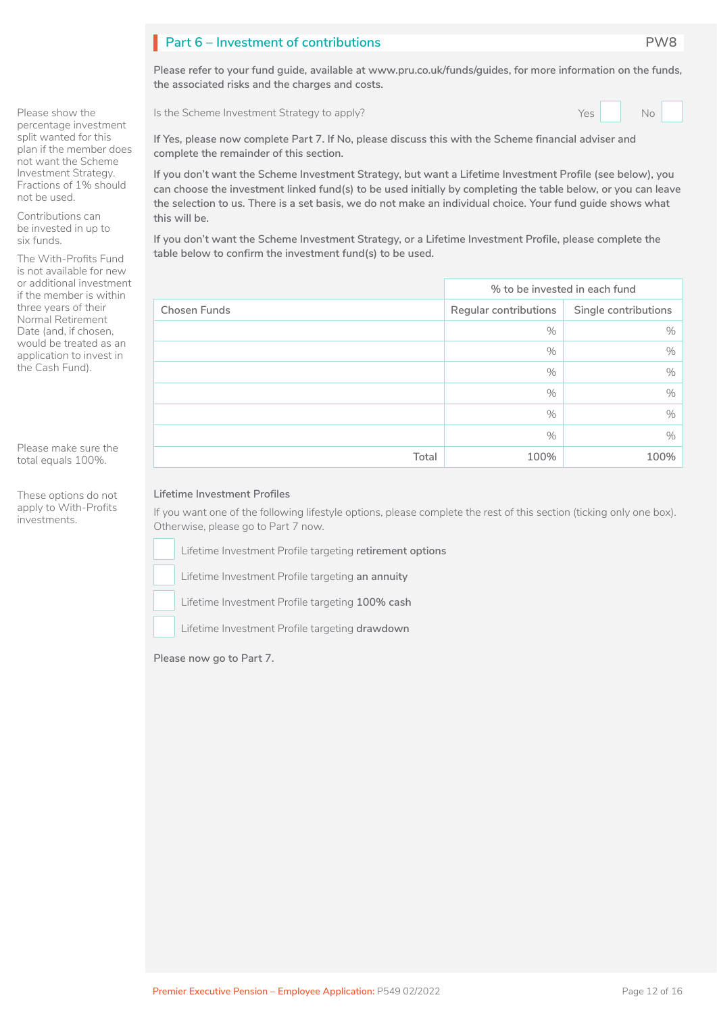## **Part 6 – Investment of contributions PW8** I

**Please refer to your fund guide, available at www.pru.co.uk/funds/guides, for more information on the funds, the associated risks and the charges and costs.**

Is the Scheme Investment Strategy to apply?

| $\overline{\triangle}$ |  | No |  |  |
|------------------------|--|----|--|--|
|------------------------|--|----|--|--|

**If Yes, please now complete Part 7. If No, please discuss this with the Scheme financial adviser and complete the remainder of this section.**

**If you don't want the Scheme Investment Strategy, but want a Lifetime Investment Profile (see below), you can choose the investment linked fund(s) to be used initially by completing the table below, or you can leave the selection to us. There is a set basis, we do not make an individual choice. Your fund guide shows what this will be.**

**If you don't want the Scheme Investment Strategy, or a Lifetime Investment Profile, please complete the table below to confirm the investment fund(s) to be used.**

|                     | % to be invested in each fund |                      |  |
|---------------------|-------------------------------|----------------------|--|
| <b>Chosen Funds</b> | Regular contributions         | Single contributions |  |
|                     | $\%$                          | $\%$                 |  |
|                     | $\%$                          | $\%$                 |  |
|                     | $\%$                          | $\%$                 |  |
|                     | $\%$                          | $\%$                 |  |
|                     | $\%$                          | $\%$                 |  |
|                     | $\%$                          | $\%$                 |  |
| Total               | 100%                          | 100%                 |  |

### **Lifetime Investment Profiles**

If you want one of the following lifestyle options, please complete the rest of this section (ticking only one box). Otherwise, please go to Part 7 now.

Lifetime Investment Profile targeting **retirement options**   $\Box$  L

Lifetime Investment Profile targeting an annuity

Lifetime Investment Profile targeting **100% cash**   $\Box$  L

Lifetime Investment Profile targeting **drawdown** 

**Please now go to Part 7.**

Please show the percentage investment split wanted for this plan if the member does not want the Scheme Investment Strategy. Fractions of 1% should not be used.

Contributions can be invested in up to six funds.

The With-Profits Fund is not available for new or additional investment if the member is within three years of their Normal Retirement Date (and, if chosen, would be treated as an application to invest in the Cash Fund).

Please make sure the total equals 100%.

These options do not apply to With-Profits investments.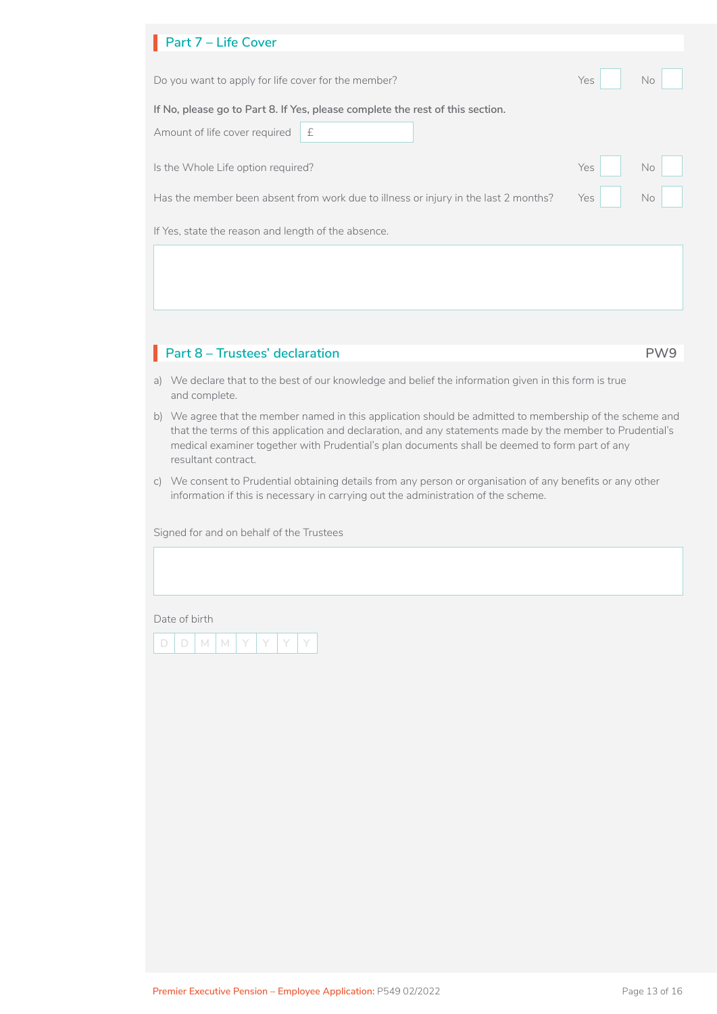|                                                     | No         |  |  |  |  |  |  |
|-----------------------------------------------------|------------|--|--|--|--|--|--|
|                                                     |            |  |  |  |  |  |  |
|                                                     |            |  |  |  |  |  |  |
|                                                     |            |  |  |  |  |  |  |
| Yes                                                 | No         |  |  |  |  |  |  |
| Yes                                                 | No         |  |  |  |  |  |  |
| If Yes, state the reason and length of the absence. |            |  |  |  |  |  |  |
|                                                     |            |  |  |  |  |  |  |
|                                                     |            |  |  |  |  |  |  |
|                                                     | <b>Yes</b> |  |  |  |  |  |  |

## **Part 8 – Trustees' declaration PW9** I

- a) We declare that to the best of our knowledge and belief the information given in this form is true and complete.
- b) We agree that the member named in this application should be admitted to membership of the scheme and that the terms of this application and declaration, and any statements made by the member to Prudential's medical examiner together with Prudential's plan documents shall be deemed to form part of any resultant contract.
- c) We consent to Prudential obtaining details from any person or organisation of any benefits or any other information if this is necessary in carrying out the administration of the scheme.

Signed for and on behalf of the Trustees

Date of birth

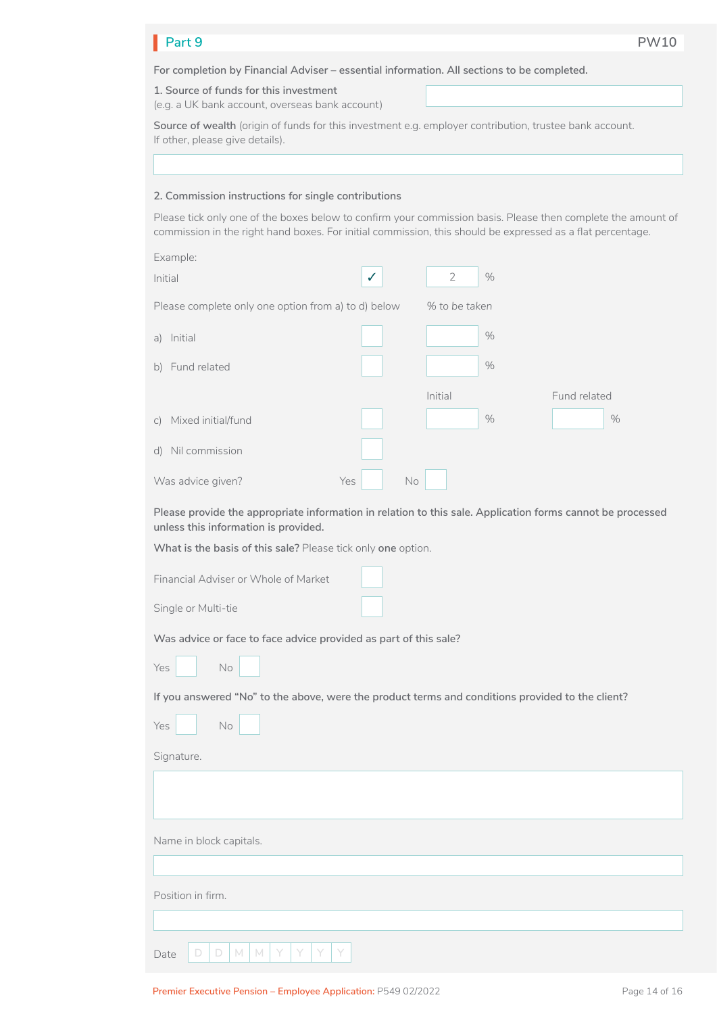#### **Part 9 PW10** Part 9

**For completion by Financial Adviser – essential information. All sections to be completed.**

**1. Source of funds for this investment**

(e.g. a UK bank account, overseas bank account)

**Source of wealth** (origin of funds for this investment e.g. employer contribution, trustee bank account. If other, please give details).

### **2. Commission instructions for single contributions**

Please tick only one of the boxes below to confirm your commission basis. Please then complete the amount of commission in the right hand boxes. For initial commission, this should be expressed as a flat percentage.

|             | Example:                                            |              |                        |              |
|-------------|-----------------------------------------------------|--------------|------------------------|--------------|
| Initial     |                                                     | $\checkmark$ | $\overline{2}$<br>$\%$ |              |
|             | Please complete only one option from a) to d) below |              | % to be taken          |              |
| a)          | Initial                                             |              | $\%$                   |              |
|             | b) Fund related                                     |              | $\%$                   |              |
|             |                                                     |              | Initial                | Fund related |
| $\subset$ ) | Mixed initial/fund                                  |              | $\%$                   | $\%$         |
| d)          | Nil commission                                      |              |                        |              |
|             | Was advice given?                                   | Yes          | No                     |              |

**Please provide the appropriate information in relation to this sale. Application forms cannot be processed unless this information is provided.**

| Financial Adviser or Whole of Market                                                             |  |  |  |  |  |  |
|--------------------------------------------------------------------------------------------------|--|--|--|--|--|--|
| Single or Multi-tie                                                                              |  |  |  |  |  |  |
| Was advice or face to face advice provided as part of this sale?<br>Yes<br>$\mathsf{No}$         |  |  |  |  |  |  |
| If you answered "No" to the above, were the product terms and conditions provided to the client? |  |  |  |  |  |  |
| Yes<br>No                                                                                        |  |  |  |  |  |  |
| Signature.                                                                                       |  |  |  |  |  |  |
|                                                                                                  |  |  |  |  |  |  |
| Name in block capitals.                                                                          |  |  |  |  |  |  |
|                                                                                                  |  |  |  |  |  |  |
| Position in firm.                                                                                |  |  |  |  |  |  |
|                                                                                                  |  |  |  |  |  |  |
| D<br>D<br>M<br>M<br>Date                                                                         |  |  |  |  |  |  |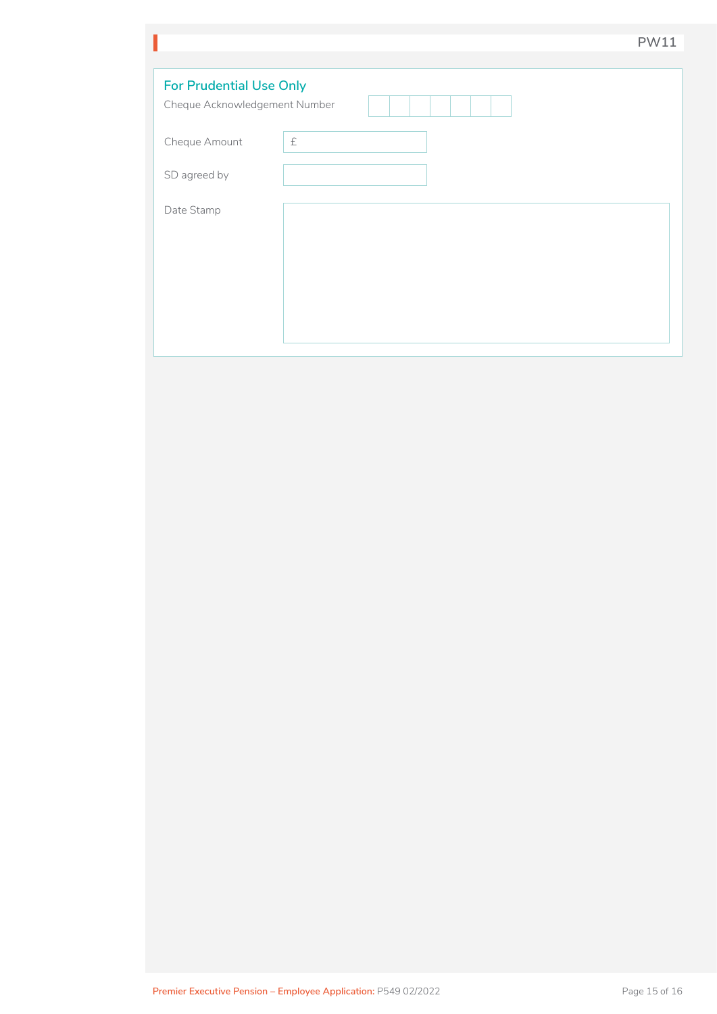|                                                                 |           | <b>PW11</b> |  |  |  |
|-----------------------------------------------------------------|-----------|-------------|--|--|--|
|                                                                 |           |             |  |  |  |
| <b>For Prudential Use Only</b><br>Cheque Acknowledgement Number |           |             |  |  |  |
| Cheque Amount                                                   | $\pounds$ |             |  |  |  |
| SD agreed by                                                    |           |             |  |  |  |
| Date Stamp                                                      |           |             |  |  |  |
|                                                                 |           |             |  |  |  |
|                                                                 |           |             |  |  |  |
|                                                                 |           |             |  |  |  |
|                                                                 |           |             |  |  |  |
|                                                                 |           |             |  |  |  |